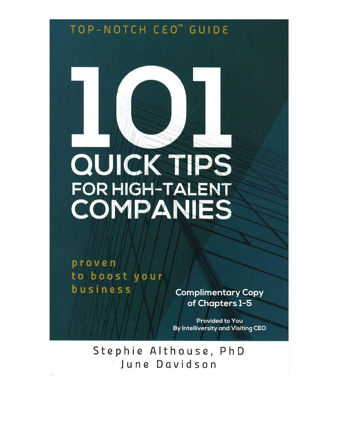## TOP-NOTCH CEO" GUIDE

# QUICK TIPS FOR HIGH-TALENT COMPANIES

proven to boost your business

**Complimentary Copy** of Chapters 1-5

**Provided to You** By Intelliversity and Visiting CEO

Stephie Althouse, PhD June Davidson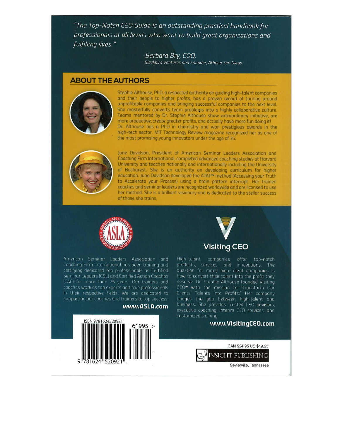"The Top-Notch CEO Guide is an outstanding practical handbook for professionals at all levels who want to build great organizations and fulfilling lives."

> -Barbara Bry, COO, Blackbird Ventures and Founder, Athena San Diego

#### **ABOUT THE AUTHORS**



Stephie Althouse, PhD, a respected authority on guiding high-talent companies and their people to higher profits, has a proven record of turning around unprofitable companies and bringing successful companies to the next level. She masterfully converts team problems into a highly collaborative culture. Teams mentored by Dr. Stephie Althouse show extraordinary initiative, are more productive, create greater profits, and actually have more fun doing it! Dr. Althouse has a PhD in chemistry and won prestigious awards in the high-tech sector. MIT Technology Review magazine recognized her as one of the most promising young innovators under the age of 35.



June Davidson, President of American Seminar Leaders Association and Coaching Firm International, completed advanced coaching studies at Harvard University and teaches nationally and internationally including the University of Bucharest. She is an authority on developing curriculum for higher education. June Davidson developed the ATAP™ method (Accessing your Truth to Accelerate your Process) using a brain pattern interrupt. Her trained coaches and seminar leaders are recognized worldwide and are licensed to use her method. She is a brilliant visionary and is dedicated to the stellar success of those she trains.



American Seminar Leaders Association and Coaching Firm International has been training and certifying dedicated top professionals as Certified Seminar Leaders (CSL) and Certified Action Coaches (CAC) for more than 25 years. Our trainers and coaches work as top experts and true professionals in their respective fields. We are dedicated to supporting our coaches and trainers to top success.

www.ASLA.com





High-talent companies offer top-notch products, services, and innovations. The question for many high-talent companies is how to convert their talent into the profit they deserve. Dr. Stephie Althouse founded Visiting CEO™ with the mission to "Transform Our Clients' Talents Into Profits." Her company bridges the gap between high-talent and business. She provides trusted CEO advisors, executive coaching, interim CEO services, and customized training

#### www.VisitingCEO.com



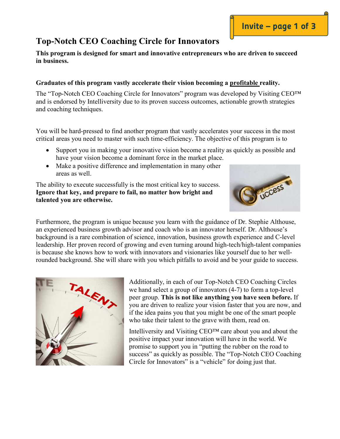### **Top-Notch CEO Coaching Circle for Innovators**

#### **This program is designed for smart and innovative entrepreneurs who are driven to succeed in business.**

#### **Graduates of this program vastly accelerate their vision becoming a profitable reality.**

The "Top-Notch CEO Coaching Circle for Innovators" program was developed by Visiting CEO™ and is endorsed by Intelliversity due to its proven success outcomes, actionable growth strategies and coaching techniques.

You will be hard-pressed to find another program that vastly accelerates your success in the most critical areas you need to master with such time-efficiency. The objective of this program is to

- Support you in making your innovative vision become a reality as quickly as possible and have your vision become a dominant force in the market place.
- Make a positive difference and implementation in many other areas as well.

The ability to execute successfully is the most critical key to success. **Ignore that key, and prepare to fail, no matter how bright and talented you are otherwise.**



Invite – page 1 of 3

Furthermore, the program is unique because you learn with the guidance of Dr. Stephie Althouse, an experienced business growth advisor and coach who is an innovator herself. Dr. Althouse's background is a rare combination of science, innovation, business growth experience and C-level leadership. Her proven record of growing and even turning around high-tech/high-talent companies is because she knows how to work with innovators and visionaries like yourself due to her wellrounded background. She will share with you which pitfalls to avoid and be your guide to success.



Additionally, in each of our Top-Notch CEO Coaching Circles we hand select a group of innovators (4-7) to form a top-level peer group. **This is not like anything you have seen before.** If you are driven to realize your vision faster that you are now, and if the idea pains you that you might be one of the smart people who take their talent to the grave with them, read on.

Intelliversity and Visiting CEO™ care about you and about the positive impact your innovation will have in the world. We promise to support you in "putting the rubber on the road to success" as quickly as possible. The "Top-Notch CEO Coaching Circle for Innovators" is a "vehicle" for doing just that.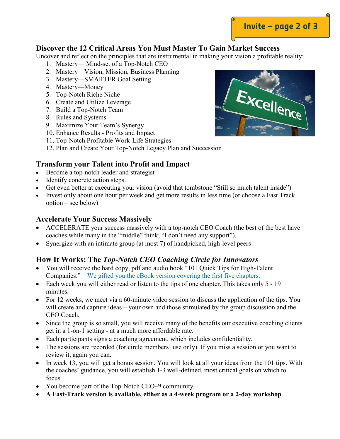

#### **Discover the 12 Critical Areas You Must Master To Gain Market Success**

Uncover and reflect on the principles that are instrumental in making your vision a profitable reality:

- 1. Mastery— Mind-set of a Top-Notch CEO
- 2. Mastery—Vision, Mission, Business Planning
- 3. Mastery—SMARTER Goal Setting
- 4. Mastery—Money
- 5. Top-Notch Riche Niche
- 6. Create and Utilize Leverage
- 7. Build a Top-Notch Team
- 8. Rules and Systems
- 9. Maximize Your Team's Synergy
- 10. Enhance Results Profits and Impact
- 11. Top-Notch Profitable Work-Life Strategies
- 12. Plan and Create Your Top-Notch Legacy Plan and Succession

#### **Transform your Talent into Profit and Impact**

- Become a top-notch leader and strategist
- Identify concrete action steps.
- Get even better at executing your vision (avoid that tombstone "Still so much talent inside")
- Invest only about one hour per week and get more results in less time (or choose a Fast Track option – see below)

#### **Accelerate Your Success Massively**

- ACCELERATE your success massively with a top-notch CEO Coach (the best of the best have coaches while many in the "middle" think; "I don't need any support").
- Synergize with an intimate group (at most 7) of handpicked, high-level peers

#### **How It Works: The** *Top-Notch CEO Coaching Circle for Innovators*

- You will receive the hard copy, pdf and audio book "101 Quick Tips for High-Talent Companies." – We gifted you the eBook version covering the first five chapters.
- Each week you will either read or listen to the tips of one chapter. This takes only 5 19 minutes.
- For 12 weeks, we meet via a 60-minute video session to discuss the application of the tips. You will create and capture ideas – your own and those stimulated by the group discussion and the CEO Coach.
- Since the group is so small, you will receive many of the benefits our executive coaching clients get in a 1-on-1 setting - at a much more affordable rate.
- Each participants signs a coaching agreement, which includes confidentiality.
- The sessions are recorded (for circle members' use only). If you miss a session or you want to review it, again you can.
- In week 13, you will get a bonus session. You will look at all your ideas from the 101 tips. With the coaches' guidance, you will establish 1-3 well-defined, most critical goals on which to focus.
- You become part of the Top-Notch CEO<sup>TM</sup> community.
- **A Fast-Track version is available, either as a 4-week program or a 2-day workshop**.

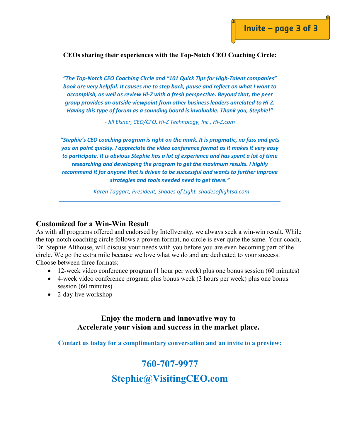**CEOs sharing their experiences with the Top-Notch CEO Coaching Circle:**

*"The Top-Notch CEO Coaching Circle and "101 Quick Tips for High-Talent companies" book are very helpful. It causes me to step back, pause and reflect on what I want to accomplish, as well as review Hi-Z with a fresh perspective. Beyond that, the peer group provides an outside viewpoint from other business leaders unrelated to Hi-Z. Having this type of forum as a sounding board is invaluable. Thank you, Stephie!"* 

*- Jill Elsner, CEO/CFO, Hi-Z Technology, Inc., Hi-Z.com*

*"Stephie's CEO coaching program is right on the mark. It is pragmatic, no fuss and gets you on point quickly. I appreciate the video conference format as it makes it very easy to participate. It is obvious Stephie has a lot of experience and has spent a lot of time researching and developing the program to get the maximum results. I highly recommend it for anyone that is driven to be successful and wants to further improve strategies and tools needed need to get there."* 

*- Karen Taggart, President, Shades of Light, shadesoflightsd.com* 

#### **Customized for a Win-Win Result**

As with all programs offered and endorsed by Intellversity, we always seek a win-win result. While the top-notch coaching circle follows a proven format, no circle is ever quite the same. Your coach, Dr. Stephie Althouse, will discuss your needs with you before you are even becoming part of the circle. We go the extra mile because we love what we do and are dedicated to your success. Choose between three formats:

- 12-week video conference program (1 hour per week) plus one bonus session (60 minutes)
- 4-week video conference program plus bonus week (3 hours per week) plus one bonus session (60 minutes)
- 2-day live workshop

#### **Enjoy the modern and innovative way to Accelerate your vision and success in the market place.**

**Contact us today for a complimentary conversation and an invite to a preview:** 

## **760-707-9977 Stephie@VisitingCEO.com**